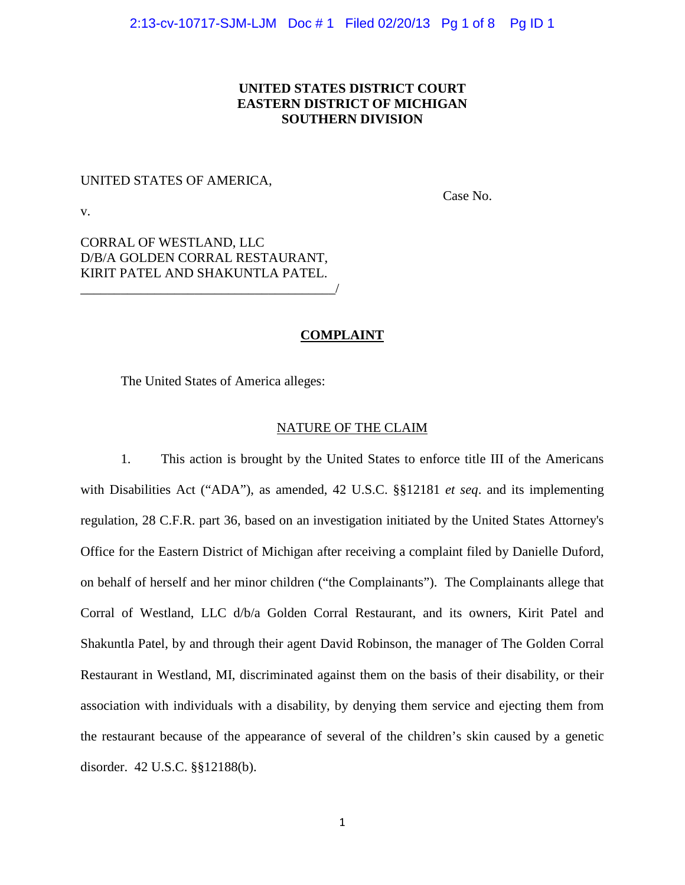# **UNITED STATES DISTRICT COURT EASTERN DISTRICT OF MICHIGAN SOUTHERN DIVISION**

## UNITED STATES OF AMERICA,

Case No.

v.

CORRAL OF WESTLAND, LLC D/B/A GOLDEN CORRAL RESTAURANT, KIRIT PATEL AND SHAKUNTLA PATEL. \_\_\_\_\_\_\_\_\_\_\_\_\_\_\_\_\_\_\_\_\_\_\_\_\_\_\_\_\_\_\_\_\_\_\_\_\_\_/

# **COMPLAINT**

The United States of America alleges:

### NATURE OF THE CLAIM

1. This action is brought by the United States to enforce title III of the Americans with Disabilities Act ("ADA"), as amended, 42 U.S.C. §§12181 *et seq*. and its implementing regulation, 28 C.F.R. part 36, based on an investigation initiated by the United States Attorney's Office for the Eastern District of Michigan after receiving a complaint filed by Danielle Duford, on behalf of herself and her minor children ("the Complainants"). The Complainants allege that Corral of Westland, LLC d/b/a Golden Corral Restaurant, and its owners, Kirit Patel and Shakuntla Patel, by and through their agent David Robinson, the manager of The Golden Corral Restaurant in Westland, MI, discriminated against them on the basis of their disability, or their association with individuals with a disability, by denying them service and ejecting them from the restaurant because of the appearance of several of the children's skin caused by a genetic disorder. 42 U.S.C. §§12188(b).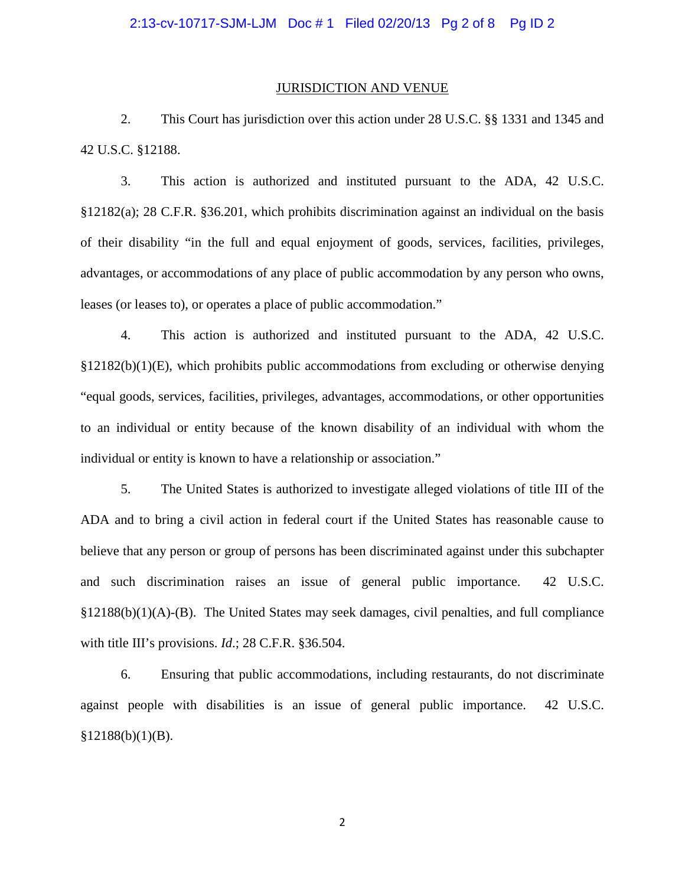#### JURISDICTION AND VENUE

2. This Court has jurisdiction over this action under 28 U.S.C. §§ 1331 and 1345 and 42 U.S.C. §12188.

3. This action is authorized and instituted pursuant to the ADA, 42 U.S.C. §12182(a); 28 C.F.R. §36.201, which prohibits discrimination against an individual on the basis of their disability "in the full and equal enjoyment of goods, services, facilities, privileges, advantages, or accommodations of any place of public accommodation by any person who owns, leases (or leases to), or operates a place of public accommodation."

4. This action is authorized and instituted pursuant to the ADA, 42 U.S.C.  $\S12182(b)(1)(E)$ , which prohibits public accommodations from excluding or otherwise denying "equal goods, services, facilities, privileges, advantages, accommodations, or other opportunities to an individual or entity because of the known disability of an individual with whom the individual or entity is known to have a relationship or association."

5. The United States is authorized to investigate alleged violations of title III of the ADA and to bring a civil action in federal court if the United States has reasonable cause to believe that any person or group of persons has been discriminated against under this subchapter and such discrimination raises an issue of general public importance. 42 U.S.C. §12188(b)(1)(A)-(B). The United States may seek damages, civil penalties, and full compliance with title III's provisions. *Id*.; 28 C.F.R. §36.504.

6. Ensuring that public accommodations, including restaurants, do not discriminate against people with disabilities is an issue of general public importance. 42 U.S.C.  $§12188(b)(1)(B).$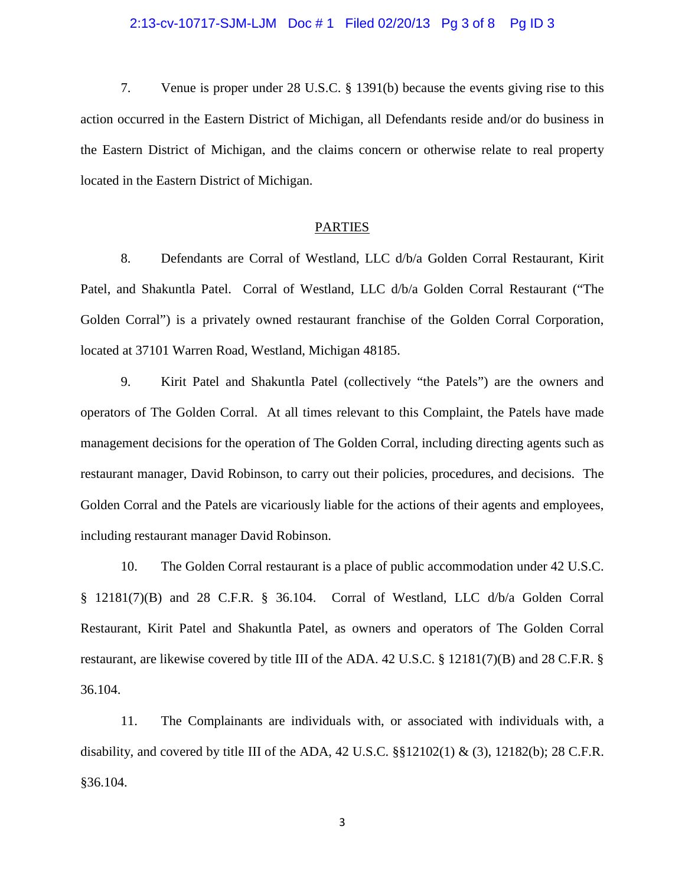#### 2:13-cv-10717-SJM-LJM Doc # 1 Filed 02/20/13 Pg 3 of 8 Pg ID 3

7. Venue is proper under 28 U.S.C. § 1391(b) because the events giving rise to this action occurred in the Eastern District of Michigan, all Defendants reside and/or do business in the Eastern District of Michigan, and the claims concern or otherwise relate to real property located in the Eastern District of Michigan.

### PARTIES

8. Defendants are Corral of Westland, LLC d/b/a Golden Corral Restaurant, Kirit Patel, and Shakuntla Patel. Corral of Westland, LLC d/b/a Golden Corral Restaurant ("The Golden Corral") is a privately owned restaurant franchise of the Golden Corral Corporation, located at 37101 Warren Road, Westland, Michigan 48185.

9. Kirit Patel and Shakuntla Patel (collectively "the Patels") are the owners and operators of The Golden Corral. At all times relevant to this Complaint, the Patels have made management decisions for the operation of The Golden Corral, including directing agents such as restaurant manager, David Robinson, to carry out their policies, procedures, and decisions. The Golden Corral and the Patels are vicariously liable for the actions of their agents and employees, including restaurant manager David Robinson.

10. The Golden Corral restaurant is a place of public accommodation under 42 U.S.C. § 12181(7)(B) and 28 C.F.R. § 36.104. Corral of Westland, LLC d/b/a Golden Corral Restaurant, Kirit Patel and Shakuntla Patel, as owners and operators of The Golden Corral restaurant, are likewise covered by title III of the ADA. 42 U.S.C. § 12181(7)(B) and 28 C.F.R. § 36.104.

11. The Complainants are individuals with, or associated with individuals with, a disability, and covered by title III of the ADA, 42 U.S.C.  $\S$ [12102(1) & (3), 12182(b); 28 C.F.R. §36.104.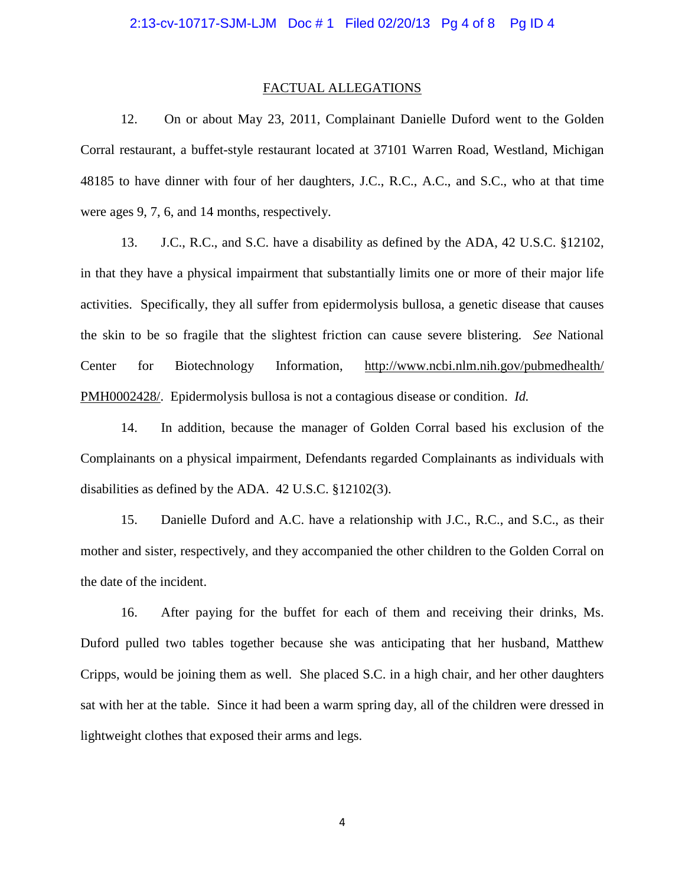#### FACTUAL ALLEGATIONS

12. On or about May 23, 2011, Complainant Danielle Duford went to the Golden Corral restaurant, a buffet-style restaurant located at 37101 Warren Road, Westland, Michigan 48185 to have dinner with four of her daughters, J.C., R.C., A.C., and S.C., who at that time were ages 9, 7, 6, and 14 months, respectively.

13. J.C., R.C., and S.C. have a disability as defined by the ADA, 42 U.S.C. §12102, in that they have a physical impairment that substantially limits one or more of their major life activities. Specifically, they all suffer from epidermolysis bullosa, a genetic disease that causes the skin to be so fragile that the slightest friction can cause severe blistering. *See* National Center for Biotechnology Information, http://www.ncbi.nlm.nih.gov/pubmedhealth/ PMH0002428/. Epidermolysis bullosa is not a contagious disease or condition. *Id.*

14. In addition, because the manager of Golden Corral based his exclusion of the Complainants on a physical impairment, Defendants regarded Complainants as individuals with disabilities as defined by the ADA. 42 U.S.C. §12102(3).

15. Danielle Duford and A.C. have a relationship with J.C., R.C., and S.C., as their mother and sister, respectively, and they accompanied the other children to the Golden Corral on the date of the incident.

16. After paying for the buffet for each of them and receiving their drinks, Ms. Duford pulled two tables together because she was anticipating that her husband, Matthew Cripps, would be joining them as well. She placed S.C. in a high chair, and her other daughters sat with her at the table. Since it had been a warm spring day, all of the children were dressed in lightweight clothes that exposed their arms and legs.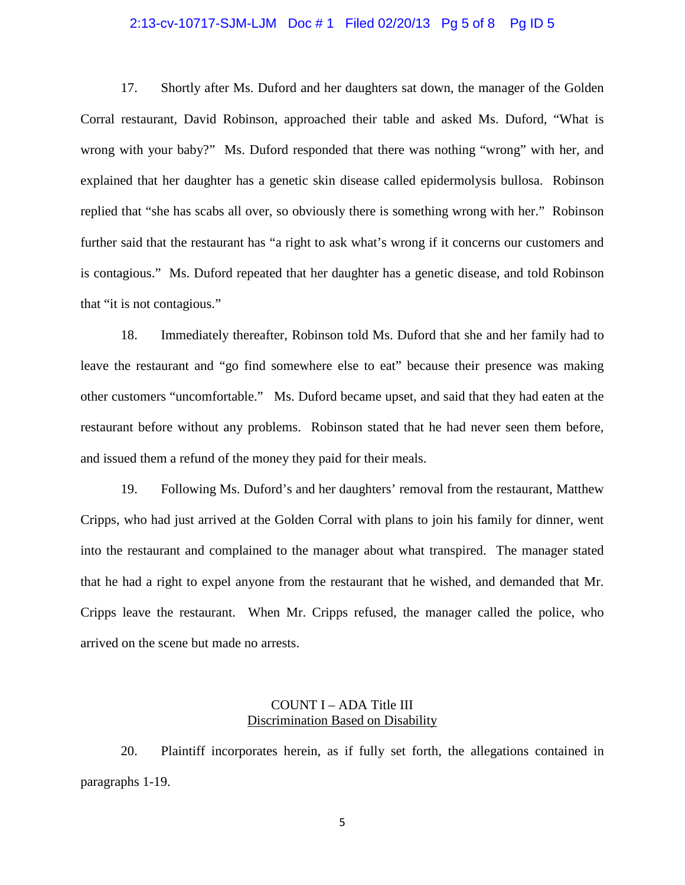#### 2:13-cv-10717-SJM-LJM Doc # 1 Filed 02/20/13 Pg 5 of 8 Pg ID 5

17. Shortly after Ms. Duford and her daughters sat down, the manager of the Golden Corral restaurant, David Robinson, approached their table and asked Ms. Duford, "What is wrong with your baby?" Ms. Duford responded that there was nothing "wrong" with her, and explained that her daughter has a genetic skin disease called epidermolysis bullosa. Robinson replied that "she has scabs all over, so obviously there is something wrong with her." Robinson further said that the restaurant has "a right to ask what's wrong if it concerns our customers and is contagious." Ms. Duford repeated that her daughter has a genetic disease, and told Robinson that "it is not contagious."

18. Immediately thereafter, Robinson told Ms. Duford that she and her family had to leave the restaurant and "go find somewhere else to eat" because their presence was making other customers "uncomfortable." Ms. Duford became upset, and said that they had eaten at the restaurant before without any problems. Robinson stated that he had never seen them before, and issued them a refund of the money they paid for their meals.

19. Following Ms. Duford's and her daughters' removal from the restaurant, Matthew Cripps, who had just arrived at the Golden Corral with plans to join his family for dinner, went into the restaurant and complained to the manager about what transpired. The manager stated that he had a right to expel anyone from the restaurant that he wished, and demanded that Mr. Cripps leave the restaurant. When Mr. Cripps refused, the manager called the police, who arrived on the scene but made no arrests.

# COUNT I – ADA Title III Discrimination Based on Disability

20. Plaintiff incorporates herein, as if fully set forth, the allegations contained in paragraphs 1-19.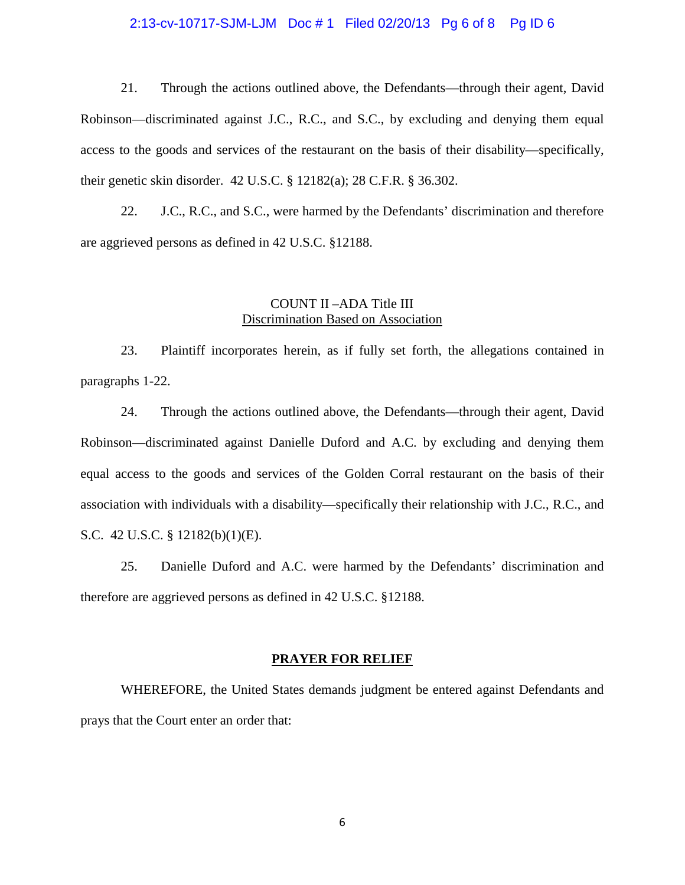#### 2:13-cv-10717-SJM-LJM Doc # 1 Filed 02/20/13 Pg 6 of 8 Pg ID 6

21. Through the actions outlined above, the Defendants—through their agent, David Robinson—discriminated against J.C., R.C., and S.C., by excluding and denying them equal access to the goods and services of the restaurant on the basis of their disability—specifically, their genetic skin disorder. 42 U.S.C. § 12182(a); 28 C.F.R. § 36.302.

22. J.C., R.C., and S.C., were harmed by the Defendants' discrimination and therefore are aggrieved persons as defined in 42 U.S.C. §12188.

# COUNT II –ADA Title III Discrimination Based on Association

23. Plaintiff incorporates herein, as if fully set forth, the allegations contained in paragraphs 1-22.

24. Through the actions outlined above, the Defendants—through their agent, David Robinson—discriminated against Danielle Duford and A.C. by excluding and denying them equal access to the goods and services of the Golden Corral restaurant on the basis of their association with individuals with a disability—specifically their relationship with J.C., R.C., and S.C. 42 U.S.C. § 12182(b)(1)(E).

25. Danielle Duford and A.C. were harmed by the Defendants' discrimination and therefore are aggrieved persons as defined in 42 U.S.C. §12188.

#### **PRAYER FOR RELIEF**

WHEREFORE, the United States demands judgment be entered against Defendants and prays that the Court enter an order that: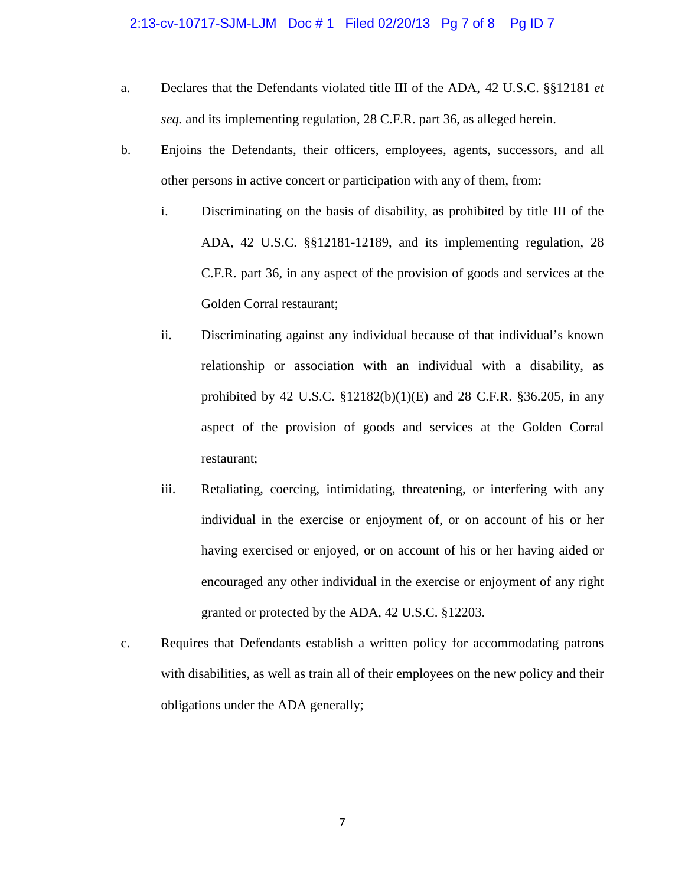#### 2:13-cv-10717-SJM-LJM Doc # 1 Filed 02/20/13 Pg 7 of 8 Pg ID 7

- a. Declares that the Defendants violated title III of the ADA, 42 U.S.C. §§12181 *et seq.* and its implementing regulation, 28 C.F.R. part 36, as alleged herein.
- b. Enjoins the Defendants, their officers, employees, agents, successors, and all other persons in active concert or participation with any of them, from:
	- i. Discriminating on the basis of disability, as prohibited by title III of the ADA, 42 U.S.C. §§12181-12189, and its implementing regulation, 28 C.F.R. part 36, in any aspect of the provision of goods and services at the Golden Corral restaurant;
	- ii. Discriminating against any individual because of that individual's known relationship or association with an individual with a disability, as prohibited by 42 U.S.C.  $$12182(b)(1)(E)$  and 28 C.F.R.  $$36.205$ , in any aspect of the provision of goods and services at the Golden Corral restaurant;
	- iii. Retaliating, coercing, intimidating, threatening, or interfering with any individual in the exercise or enjoyment of, or on account of his or her having exercised or enjoyed, or on account of his or her having aided or encouraged any other individual in the exercise or enjoyment of any right granted or protected by the ADA, 42 U.S.C. §12203.
- c. Requires that Defendants establish a written policy for accommodating patrons with disabilities, as well as train all of their employees on the new policy and their obligations under the ADA generally;